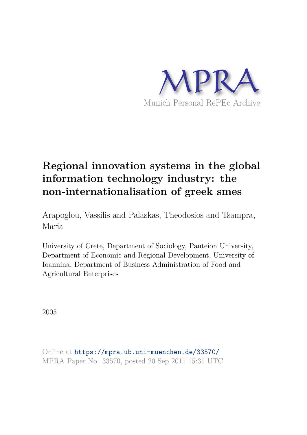

# **Regional innovation systems in the global information technology industry: the non-internationalisation of greek smes**

Arapoglou, Vassilis and Palaskas, Theodosios and Tsampra, Maria

University of Crete, Department of Sociology, Panteion University, Department of Economic and Regional Development, University of Ioannina, Department of Business Administration of Food and Agricultural Enterprises

2005

Online at https://mpra.ub.uni-muenchen.de/33570/ MPRA Paper No. 33570, posted 20 Sep 2011 15:31 UTC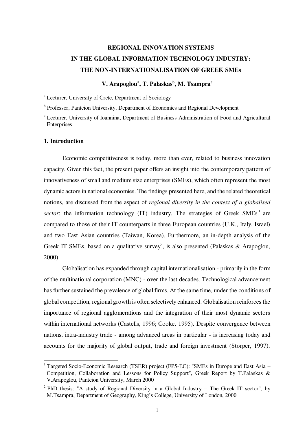## **REGIONAL INNOVATION SYSTEMS IN THE GLOBAL INFORMATION TECHNOLOGY INDUSTRY: THE NON-INTERNATIONALISATION OF GREEK SMEs**

### **V. Arapoglou<sup>a</sup> , T. Palaskas<sup>b</sup> , M. Tsampra<sup>c</sup>**

a Lecturer, University of Crete, Department of Sociology

**b** Professor, Panteion University, Department of Economics and Regional Development

<sup>c</sup> Lecturer, University of Ioannina, Department of Business Administration of Food and Agricultural **Enterprises** 

#### **1. Introduction**

-

Economic competitiveness is today, more than ever, related to business innovation capacity. Given this fact, the present paper offers an insight into the contemporary pattern of innovativeness of small and medium size enterprises (SMEs), which often represent the most dynamic actors in national economies. The findings presented here, and the related theoretical notions, are discussed from the aspect of *regional diversity in the context of a globalised*  sector: the information technology  $(IT)$  industry. The strategies of Greek SMEs<sup>1</sup> are compared to those of their IT counterparts in three European countries (U.K., Italy, Israel) and two East Asian countries (Taiwan, Korea). Furthermore, an in-depth analysis of the Greek IT SMEs, based on a qualitative survey<sup>2</sup>, is also presented (Palaskas & Arapoglou, 2000).

Globalisation has expanded through capital internationalisation - primarily in the form of the multinational corporation (MNC) - over the last decades. Technological advancement has further sustained the prevalence of global firms. At the same time, under the conditions of global competition, regional growth is often selectively enhanced. Globalisation reinforces the importance of regional agglomerations and the integration of their most dynamic sectors within international networks (Castells, 1996; Cooke, 1995). Despite convergence between nations, intra-industry trade - among advanced areas in particular - is increasing today and accounts for the majority of global output, trade and foreign investment (Storper, 1997).

<sup>&</sup>lt;sup>1</sup> Targeted Socio-Economic Research (TSER) project (FP5-EC): "SMEs in Europe and East Asia -Competition, Collaboration and Lessons for Policy Support", Greek Report by T.Palaskas & V.Arapoglou, Panteion University, March 2000

<sup>&</sup>lt;sup>2</sup> PhD thesis: "A study of Regional Diversity in a Global Industry – The Greek IT sector", by M.Tsampra, Department of Geography, King's College, University of London, 2000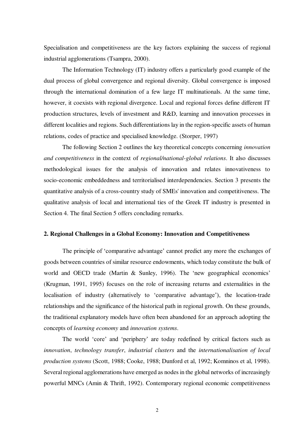Specialisation and competitiveness are the key factors explaining the success of regional industrial agglomerations (Tsampra, 2000).

The Information Technology (IT) industry offers a particularly good example of the dual process of global convergence and regional diversity. Global convergence is imposed through the international domination of a few large IT multinationals. At the same time, however, it coexists with regional divergence. Local and regional forces define different IT production structures, levels of investment and R&D, learning and innovation processes in different localities and regions. Such differentiations lay in the region-specific assets of human relations, codes of practice and specialised knowledge. (Storper, 1997)

The following Section 2 outlines the key theoretical concepts concerning *innovation and competitiveness* in the context of *regional/national-global relations*. It also discusses methodological issues for the analysis of innovation and relates innovativeness to socio-economic embeddedness and territorialised interdependencies. Section 3 presents the quantitative analysis of a cross-country study of SMEs' innovation and competitiveness. The qualitative analysis of local and international ties of the Greek IT industry is presented in Section 4. The final Section 5 offers concluding remarks.

#### **2. Regional Challenges in a Global Economy: Innovation and Competitiveness**

The principle of 'comparative advantage' cannot predict any more the exchanges of goods between countries of similar resource endowments, which today constitute the bulk of world and OECD trade (Martin & Sunley, 1996). The 'new geographical economics' (Krugman, 1991, 1995) focuses on the role of increasing returns and externalities in the localisation of industry (alternatively to 'comparative advantage'), the location-trade relationships and the significance of the historical path in regional growth. On these grounds, the traditional explanatory models have often been abandoned for an approach adopting the concepts of *learning economy* and *innovation systems*.

The world 'core' and 'periphery' are today redefined by critical factors such as *innovation*, *technology transfer*, *industrial clusters* and the *internationalisation of local production systems* (Scott, 1988; Cooke, 1988; Dunford et al, 1992; Komninos et al, 1998). Several regional agglomerations have emerged as nodes in the global networks of increasingly powerful MNCs (Amin & Thrift, 1992). Contemporary regional economic competitiveness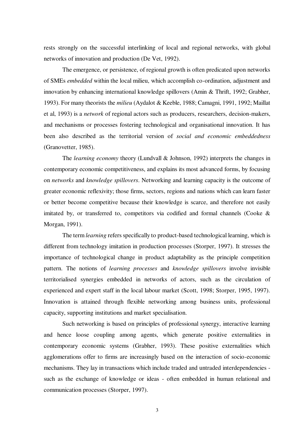rests strongly on the successful interlinking of local and regional networks, with global networks of innovation and production (De Vet, 1992).

The emergence, or persistence, of regional growth is often predicated upon networks of SMEs *embedded* within the local milieu, which accomplish co-ordination, adjustment and innovation by enhancing international knowledge spillovers (Amin & Thrift, 1992; Grabher, 1993). For many theorists the *milieu* (Aydalot & Keeble, 1988; Camagni, 1991, 1992; Maillat et al, 1993) is a *network* of regional actors such as producers, researchers, decision-makers, and mechanisms or processes fostering technological and organisational innovation. It has been also described as the territorial version of *social and economic embeddedness* (Granovetter, 1985).

The *learning economy* theory (Lundvall & Johnson, 1992) interprets the changes in contemporary economic competitiveness, and explains its most advanced forms, by focusing on *networks* and *knowledge spillovers*. Networking and learning capacity is the outcome of greater economic reflexivity; those firms, sectors, regions and nations which can learn faster or better become competitive because their knowledge is scarce, and therefore not easily imitated by, or transferred to, competitors via codified and formal channels (Cooke & Morgan, 1991).

The term *learning* refers specifically to product-based technological learning, which is different from technology imitation in production processes (Storper, 1997). It stresses the importance of technological change in product adaptability as the principle competition pattern. The notions of *learning processes* and *knowledge spillovers* involve invisible territorialised synergies embedded in networks of actors, such as the circulation of experienced and expert staff in the local labour market (Scott, 1998; Storper, 1995, 1997). Innovation is attained through flexible networking among business units, professional capacity, supporting institutions and market specialisation.

Such networking is based on principles of professional synergy, interactive learning and hence loose coupling among agents, which generate positive externalities in contemporary economic systems (Grabher, 1993). These positive externalities which agglomerations offer to firms are increasingly based on the interaction of socio-economic mechanisms. They lay in transactions which include traded and untraded interdependencies such as the exchange of knowledge or ideas - often embedded in human relational and communication processes (Storper, 1997).

3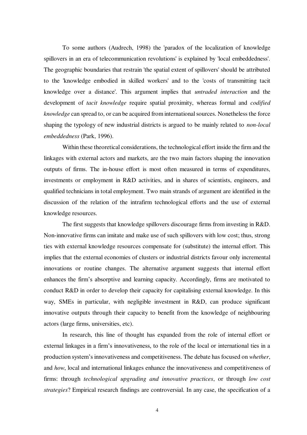To some authors (Audrech, 1998) the 'paradox of the localization of knowledge spillovers in an era of telecommunication revolutions' is explained by 'local embeddedness'. The geographic boundaries that restrain 'the spatial extent of spillovers' should be attributed to the 'knowledge embodied in skilled workers' and to the 'costs of transmitting tacit knowledge over a distance'. This argument implies that *untraded interaction* and the development of *tacit knowledge* require spatial proximity, whereas formal and *codified knowledge* can spread to, or can be acquired from international sources. Nonetheless the force shaping the typology of new industrial districts is argued to be mainly related to *non-local embeddedness* (Park, 1996).

Within these theoretical considerations, the technological effort inside the firm and the linkages with external actors and markets, are the two main factors shaping the innovation outputs of firms. The in-house effort is most often measured in terms of expenditures, investments or employment in R&D activities, and in shares of scientists, engineers, and qualified technicians in total employment. Two main strands of argument are identified in the discussion of the relation of the intrafirm technological efforts and the use of external knowledge resources.

The first suggests that knowledge spillovers discourage firms from investing in R&D. Non-innovative firms can imitate and make use of such spillovers with low cost; thus, strong ties with external knowledge resources compensate for (substitute) the internal effort. This implies that the external economies of clusters or industrial districts favour only incremental innovations or routine changes. The alternative argument suggests that internal effort enhances the firm's absorptive and learning capacity. Accordingly, firms are motivated to conduct R&D in order to develop their capacity for capitalising external knowledge. In this way, SMEs in particular, with negligible investment in R&D, can produce significant innovative outputs through their capacity to benefit from the knowledge of neighbouring actors (large firms, universities, etc).

In research, this line of thought has expanded from the role of internal effort or external linkages in a firm's innovativeness, to the role of the local or international ties in a production system's innovativeness and competitiveness. The debate has focused on *whether*, and *how*, local and international linkages enhance the innovativeness and competitiveness of firms: through *technological upgrading and innovative practices*, or through *low cost strategies*? Empirical research findings are controversial. In any case, the specification of a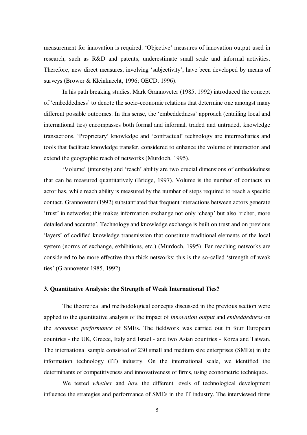measurement for innovation is required. 'Objective' measures of innovation output used in research, such as R&D and patents, underestimate small scale and informal activities. Therefore, new direct measures, involving 'subjectivity', have been developed by means of surveys (Brower & Kleinknecht, 1996; OECD, 1996).

In his path breaking studies, Mark Grannoveter (1985, 1992) introduced the concept of 'embeddedness' to denote the socio-economic relations that determine one amongst many different possible outcomes. In this sense, the 'embeddedness' approach (entailing local and international ties) encompasses both formal and informal, traded and untraded, knowledge transactions. 'Proprietary' knowledge and 'contractual' technology are intermediaries and tools that facilitate knowledge transfer, considered to enhance the volume of interaction and extend the geographic reach of networks (Murdoch, 1995).

'Volume' (intensity) and 'reach' ability are two crucial dimensions of embeddedness that can be measured quantitatively (Bridge, 1997). Volume is the number of contacts an actor has, while reach ability is measured by the number of steps required to reach a specific contact. Grannoveter (1992) substantiated that frequent interactions between actors generate 'trust' in networks; this makes information exchange not only 'cheap' but also 'richer, more detailed and accurate'. Technology and knowledge exchange is built on trust and on previous 'layers' of codified knowledge transmission that constitute traditional elements of the local system (norms of exchange, exhibitions, etc.) (Murdoch, 1995). Far reaching networks are considered to be more effective than thick networks; this is the so-called 'strength of weak ties' (Grannoveter 1985, 1992).

#### **3. Quantitative Analysis: the Strength of Weak International Ties?**

The theoretical and methodological concepts discussed in the previous section were applied to the quantitative analysis of the impact of *innovation output* and *embeddedness* on the *economic performance* of SMEs. The fieldwork was carried out in four European countries - the UK, Greece, Italy and Israel - and two Asian countries - Korea and Taiwan. The international sample consisted of 230 small and medium size enterprises (SMEs) in the information technology (IT) industry. On the international scale, we identified the determinants of competitiveness and innovativeness of firms, using econometric techniques.

We tested *whether* and *how* the different levels of technological development influence the strategies and performance of SMEs in the IT industry. The interviewed firms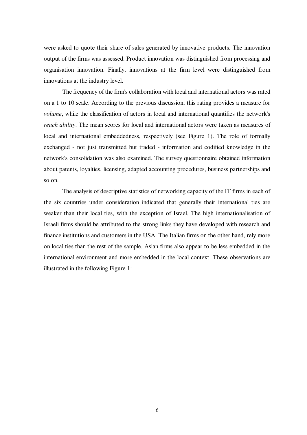were asked to quote their share of sales generated by innovative products. The innovation output of the firms was assessed. Product innovation was distinguished from processing and organisation innovation. Finally, innovations at the firm level were distinguished from innovations at the industry level.

The frequency of the firm's collaboration with local and international actors was rated on a 1 to 10 scale. According to the previous discussion, this rating provides a measure for *volume*, while the classification of actors in local and international quantifies the network's *reach ability*. The mean scores for local and international actors were taken as measures of local and international embeddedness, respectively (see Figure 1). The role of formally exchanged - not just transmitted but traded - information and codified knowledge in the network's consolidation was also examined. The survey questionnaire obtained information about patents, loyalties, licensing, adapted accounting procedures, business partnerships and so on.

The analysis of descriptive statistics of networking capacity of the IT firms in each of the six countries under consideration indicated that generally their international ties are weaker than their local ties, with the exception of Israel. The high internationalisation of Israeli firms should be attributed to the strong links they have developed with research and finance institutions and customers in the USA. The Italian firms on the other hand, rely more on local ties than the rest of the sample. Asian firms also appear to be less embedded in the international environment and more embedded in the local context. These observations are illustrated in the following Figure 1: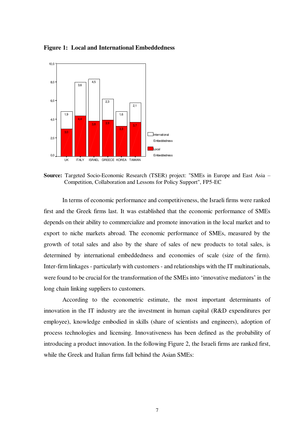**Figure 1: Local and International Embeddedness** 



**Source:** Targeted Socio-Economic Research (TSER) project: "SMEs in Europe and East Asia – Competition, Collaboration and Lessons for Policy Support", FP5-EC

In terms of economic performance and competitiveness, the Israeli firms were ranked first and the Greek firms last. It was established that the economic performance of SMEs depends on their ability to commercialize and promote innovation in the local market and to export to niche markets abroad. The economic performance of SMEs, measured by the growth of total sales and also by the share of sales of new products to total sales, is determined by international embeddedness and economies of scale (size of the firm). Inter-firm linkages - particularly with customers - and relationships with the IT multinationals, were found to be crucial for the transformation of the SMEs into 'innovative mediators' in the long chain linking suppliers to customers.

According to the econometric estimate, the most important determinants of innovation in the IT industry are the investment in human capital (R&D expenditures per employee), knowledge embodied in skills (share of scientists and engineers), adoption of process technologies and licensing. Innovativeness has been defined as the probability of introducing a product innovation. In the following Figure 2, the Israeli firms are ranked first, while the Greek and Italian firms fall behind the Asian SMEs: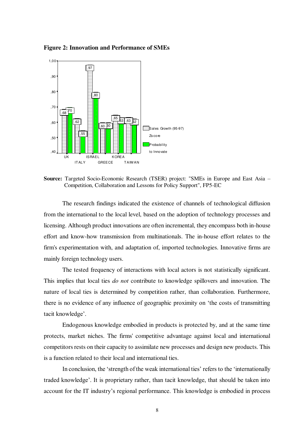**Figure 2: Innovation and Performance of SMEs** 



**Source:** Targeted Socio-Economic Research (TSER) project: "SMEs in Europe and East Asia – Competition, Collaboration and Lessons for Policy Support", FP5-EC

The research findings indicated the existence of channels of technological diffusion from the international to the local level, based on the adoption of technology processes and licensing. Although product innovations are often incremental, they encompass both in-house effort and know-how transmission from multinationals. The in-house effort relates to the firm's experimentation with, and adaptation of, imported technologies. Innovative firms are mainly foreign technology users.

The tested frequency of interactions with local actors is not statistically significant. This implies that local ties *do not* contribute to knowledge spillovers and innovation. The nature of local ties is determined by competition rather, than collaboration. Furthermore, there is no evidence of any influence of geographic proximity on 'the costs of transmitting tacit knowledge'.

Endogenous knowledge embodied in products is protected by, and at the same time protects, market niches. The firms' competitive advantage against local and international competitors rests on their capacity to assimilate new processes and design new products. This is a function related to their local and international ties.

In conclusion, the 'strength of the weak international ties' refers to the 'internationally traded knowledge'. It is proprietary rather, than tacit knowledge, that should be taken into account for the IT industry's regional performance. This knowledge is embodied in process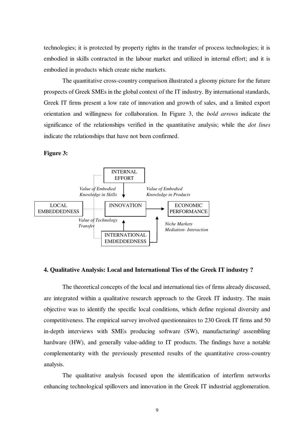technologies; it is protected by property rights in the transfer of process technologies; it is embodied in skills contracted in the labour market and utilized in internal effort; and it is embodied in products which create niche markets.

The quantitative cross-country comparison illustrated a gloomy picture for the future prospects of Greek SMEs in the global context of the IT industry. By international standards, Greek IT firms present a low rate of innovation and growth of sales, and a limited export orientation and willingness for collaboration. In Figure 3, the *bold arrows* indicate the significance of the relationships verified in the quantitative analysis; while the *dot lines*  indicate the relationships that have not been confirmed.

**Figure 3:** 



#### **4. Qualitative Analysis: Local and International Ties of the Greek IT industry ?**

The theoretical concepts of the local and international ties of firms already discussed, are integrated within a qualitative research approach to the Greek IT industry. The main objective was to identify the specific local conditions, which define regional diversity and competitiveness. The empirical survey involved questionnaires to 230 Greek IT firms and 50 in-depth interviews with SMEs producing software (SW), manufacturing/ assembling hardware (HW), and generally value-adding to IT products. The findings have a notable complementarity with the previously presented results of the quantitative cross-country analysis.

The qualitative analysis focused upon the identification of interfirm networks enhancing technological spillovers and innovation in the Greek IT industrial agglomeration.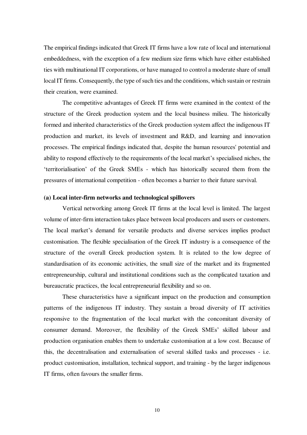The empirical findings indicated that Greek IT firms have a low rate of local and international embeddedness, with the exception of a few medium size firms which have either established ties with multinational IT corporations, or have managed to control a moderate share of small local IT firms. Consequently, the type of such ties and the conditions, which sustain or restrain their creation, were examined.

The competitive advantages of Greek IT firms were examined in the context of the structure of the Greek production system and the local business milieu. The historically formed and inherited characteristics of the Greek production system affect the indigenous IT production and market, its levels of investment and R&D, and learning and innovation processes. The empirical findings indicated that, despite the human resources' potential and ability to respond effectively to the requirements of the local market's specialised niches, the 'territorialisation' of the Greek SMEs - which has historically secured them from the pressures of international competition - often becomes a barrier to their future survival.

#### **(a) Local inter-firm networks and technological spillovers**

Vertical networking among Greek IT firms at the local level is limited. The largest volume of inter-firm interaction takes place between local producers and users or customers. The local market's demand for versatile products and diverse services implies product customisation. The flexible specialisation of the Greek IT industry is a consequence of the structure of the overall Greek production system. It is related to the low degree of standardisation of its economic activities, the small size of the market and its fragmented entrepreneurship, cultural and institutional conditions such as the complicated taxation and bureaucratic practices, the local entrepreneurial flexibility and so on.

These characteristics have a significant impact on the production and consumption patterns of the indigenous IT industry. They sustain a broad diversity of IT activities responsive to the fragmentation of the local market with the concomitant diversity of consumer demand. Moreover, the flexibility of the Greek SMEs' skilled labour and production organisation enables them to undertake customisation at a low cost. Because of this, the decentralisation and externalisation of several skilled tasks and processes - i.e. product customisation, installation, technical support, and training - by the larger indigenous IT firms, often favours the smaller firms.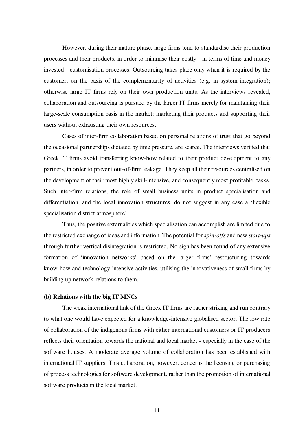However, during their mature phase, large firms tend to standardise their production processes and their products, in order to minimise their costly - in terms of time and money invested - customisation processes. Outsourcing takes place only when it is required by the customer, on the basis of the complementarity of activities (e.g. in system integration); otherwise large IT firms rely on their own production units. As the interviews revealed, collaboration and outsourcing is pursued by the larger IT firms merely for maintaining their large-scale consumption basis in the market: marketing their products and supporting their users without exhausting their own resources.

Cases of inter-firm collaboration based on personal relations of trust that go beyond the occasional partnerships dictated by time pressure, are scarce. The interviews verified that Greek IT firms avoid transferring know-how related to their product development to any partners, in order to prevent out-of-firm leakage. They keep all their resources centralised on the development of their most highly skill-intensive, and consequently most profitable, tasks. Such inter-firm relations, the role of small business units in product specialisation and differentiation, and the local innovation structures, do not suggest in any case a 'flexible specialisation district atmosphere'.

Thus, the positive externalities which specialisation can accomplish are limited due to the restricted exchange of ideas and information. The potential for *spin-offs* and new *start-ups* through further vertical disintegration is restricted. No sign has been found of any extensive formation of 'innovation networks' based on the larger firms' restructuring towards know-how and technology-intensive activities, utilising the innovativeness of small firms by building up network-relations to them.

#### **(b) Relations with the big IT MNCs**

The weak international link of the Greek IT firms are rather striking and run contrary to what one would have expected for a knowledge-intensive globalised sector. The low rate of collaboration of the indigenous firms with either international customers or IT producers reflects their orientation towards the national and local market - especially in the case of the software houses. A moderate average volume of collaboration has been established with international IT suppliers. This collaboration, however, concerns the licensing or purchasing of process technologies for software development, rather than the promotion of international software products in the local market.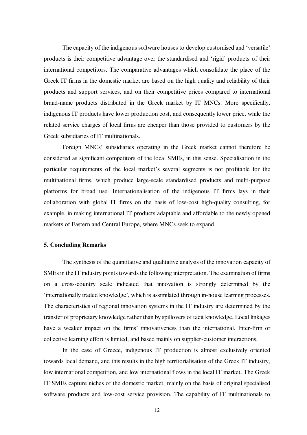The capacity of the indigenous software houses to develop customised and 'versatile' products is their competitive advantage over the standardised and 'rigid' products of their international competitors. The comparative advantages which consolidate the place of the Greek IT firms in the domestic market are based on the high quality and reliability of their products and support services, and on their competitive prices compared to international brand-name products distributed in the Greek market by IT MNCs. More specifically, indigenous IT products have lower production cost, and consequently lower price, while the related service charges of local firms are cheaper than those provided to customers by the Greek subsidiaries of IT multinationals.

Foreign MNCs' subsidiaries operating in the Greek market cannot therefore be considered as significant competitors of the local SMEs, in this sense. Specialisation in the particular requirements of the local market's several segments is not profitable for the multinational firms, which produce large-scale standardised products and multi-purpose platforms for broad use. Internationalisation of the indigenous IT firms lays in their collaboration with global IT firms on the basis of low-cost high-quality consulting, for example, in making international IT products adaptable and affordable to the newly opened markets of Eastern and Central Europe, where MNCs seek to expand.

#### **5. Concluding Remarks**

The synthesis of the quantitative and qualitative analysis of the innovation capacity of SMEs in the IT industry points towards the following interpretation. The examination of firms on a cross-country scale indicated that innovation is strongly determined by the 'internationally traded knowledge', which is assimilated through in-house learning processes. The characteristics of regional innovation systems in the IT industry are determined by the transfer of proprietary knowledge rather than by spillovers of tacit knowledge. Local linkages have a weaker impact on the firms' innovativeness than the international. Inter-firm or collective learning effort is limited, and based mainly on supplier-customer interactions.

In the case of Greece, indigenous IT production is almost exclusively oriented towards local demand, and this results in the high territorialisation of the Greek IT industry, low international competition, and low international flows in the local IT market. The Greek IT SMEs capture niches of the domestic market, mainly on the basis of original specialised software products and low-cost service provision. The capability of IT multinationals to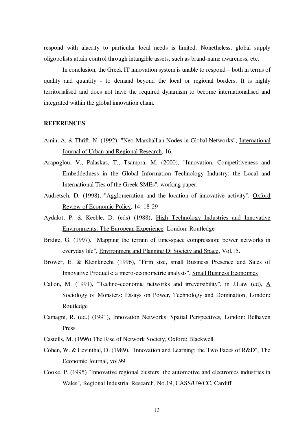respond with alacrity to particular local needs is limited. Nonetheless, global supply oligopolists attain control through intangible assets, such as brand-name awareness, etc.

In conclusion, the Greek IT innovation system is unable to respond – both in terms of quality and quantity - to demand beyond the local or regional borders. It is highly territorialised and does not have the required dynamism to become internationalised and integrated within the global innovation chain.

#### **REFERENCES**

- Amin, A. & Thrift, N. (1992), "Neo-Marshallian Nodes in Global Networks", International Journal of Urban and Regional Research, 16.
- Arapoglou, V., Palaskas, T., Tsampra, M. (2000), "Innovation, Competitiveness and Embeddedness in the Global Information Technology Industry: the Local and International Ties of the Greek SMEs", working paper.
- Audretsch, D. (1998), "Agglomeration and the location of innovative activity", Oxford Review of Economic Policy, 14: 18-29
- Aydalot, P. & Keeble, D. (eds) (1988), High Technology Industries and Innovative Environments: The European Experience*,* London: Routledge
- Bridge, G. (1997), "Mapping the terrain of time-space compression: power networks in everyday life", Environment and Planning D: Society and Space, Vol.15.
- Brower, E. & Kleinknecht (1996), "Firm size, small Business Presence and Sales of Innovative Products: a micro-econometric analysis", Small Business Economics
- Callon, M. (1991), "Techno-economic networks and irreversibility", in J.Law (ed), A Sociology of Monsters: Essays on Power, Technology and Domination, London: Routledge
- Camagni, R. (ed.) (1991), Innovation Networks: Spatial Perspectives*,* London: Belhaven Press
- Castells, M. (1996) The Rise of Network Society*,* Oxford: Blackwell.
- Cohen, W. & Levinthal, D. (1989), "Innovation and Learning: the Two Faces of R&D", The Economic Journal, vol.99
- Cooke, P. (1995) "Innovative regional clusters: the automotive and electronics industries in Wales", Regional Industrial Research*,* No.19, CASS/UWCC, Cardiff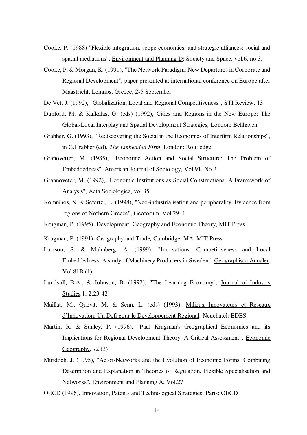- Cooke, P. (1988) "Flexible integration, scope economies, and strategic alliances: social and spatial mediations", Environment and Planning D: Society and Space, vol.6, no.3.
- Cooke, P. & Morgan, K. (1991), "The Network Paradigm: New Departures in Corporate and Regional Development", paper presented at international conference on Europe after Maastricht, Lemnos, Greece, 2-5 September

De Vet, J. (1992), "Globalization, Local and Regional Competitiveness", STI Review, 13

- Dunford, M. & Kafkalas, G. (eds) (1992), Cities and Regions in the New Europe: The Global-Local Interplay and Spatial Development Strategies*,* London: Bellhaven
- Grabher, G. (1993), "Rediscovering the Social in the Economics of Interfirm Relationships", in G.Grabher (ed), *The Embedded Firm*, London: Routledge
- Granovetter, M. (1985), "Economic Action and Social Structure: The Problem of Embeddedness", American Journal of Sociology, Vol.91, No 3
- Grannoveter, M. (1992), "Economic Institutions as Social Constructions: A Framework of Analysis", Acta Sociologica, vol.35
- Komninos, N. & Sefertzi, E. (1998), "Neo-industrialisation and peripherality. Evidence from regions of Nothern Greece", Geoforum*,* Vol.29: 1
- Krugman, P. (1995), Development, Geography and Economic Theory, MIT Press
- Krugman, P. (1991), Geography and Trade*,* Cambridge, MA: MIT Press.
- Larsson, S. & Malmberg, A. (1999), "Innovations, Competitiveness and Local Embeddedness. A study of Machinery Producers in Sweden", Geographisca Annaler, Vol.81B (1)
- Lundvall, B.Å., & Johnson, B. (1992), "The Learning Economy", Journal of Industry Studies*,*1, 2:23-42
- Maillat, M., Quevit, M. & Senn, L. (eds) (1993), Milieux Innovateurs et Reseaux d'Innovation: Un Defi pour le Developpement Regional*,* Neuchatel: EDES
- Martin, R. & Sunley, P. (1996), "Paul Krugman's Geographical Economics and its Implications for Regional Development Theory: A Critical Assessment", Economic Geography, 72 (3)
- Murdoch, J. (1995), "Actor-Networks and the Evolution of Economic Forms: Combining Description and Explanation in Theories of Regulation, Flexible Specialisation and Networks", Environment and Planning A, Vol.27
- OECD (1996), Innovation, Patents and Technological Strategies, Paris: OECD